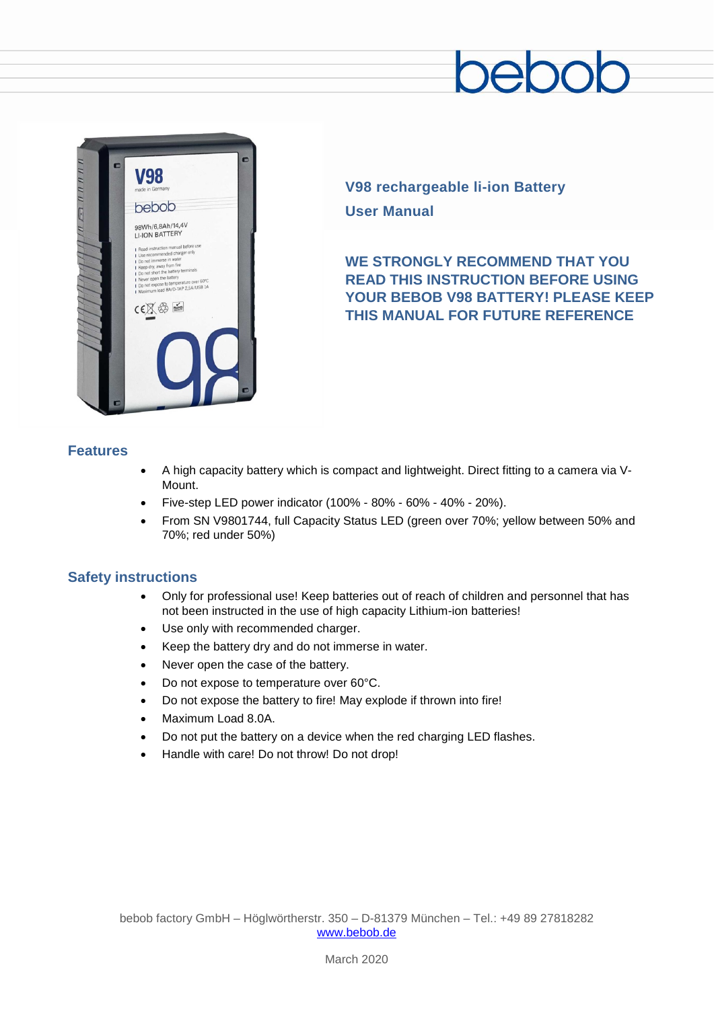# $\supseteq$



**V98 rechargeable li-ion Battery User Manual**

### **WE STRONGLY RECOMMEND THAT YOU READ THIS INSTRUCTION BEFORE USING YOUR BEBOB V98 BATTERY! PLEASE KEEP THIS MANUAL FOR FUTURE REFERENCE**

#### **Features**

- A high capacity battery which is compact and lightweight. Direct fitting to a camera via V-Mount.
- Five-step LED power indicator (100% 80% 60% 40% 20%).
- From SN V9801744, full Capacity Status LED (green over 70%; yellow between 50% and 70%; red under 50%)

#### **Safety instructions**

- Only for professional use! Keep batteries out of reach of children and personnel that has not been instructed in the use of high capacity Lithium-ion batteries!
- Use only with recommended charger.
- Keep the battery dry and do not immerse in water.
- Never open the case of the battery.
- Do not expose to temperature over 60°C.
- Do not expose the battery to fire! May explode if thrown into fire!
- Maximum Load 8.0A.
- Do not put the battery on a device when the red charging LED flashes.
- Handle with care! Do not throw! Do not drop!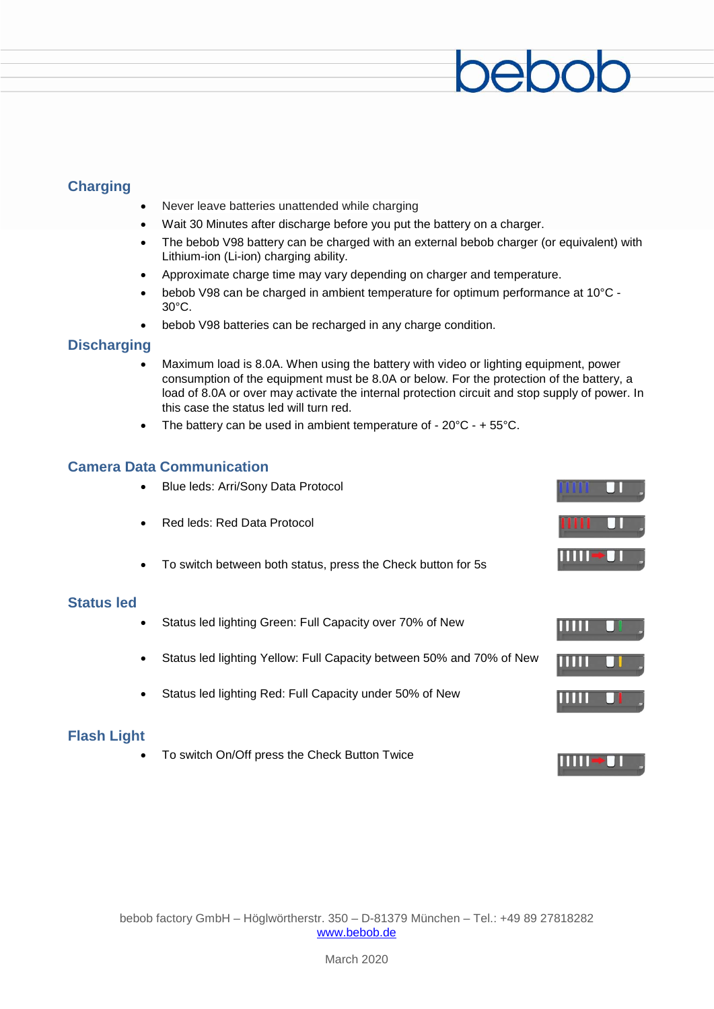#### **Charging**

- Never leave batteries unattended while charging
- Wait 30 Minutes after discharge before you put the battery on a charger.
- The bebob V98 battery can be charged with an external bebob charger (or equivalent) with Lithium-ion (Li-ion) charging ability.
- Approximate charge time may vary depending on charger and temperature.
- bebob V98 can be charged in ambient temperature for optimum performance at 10°C 30°C.
- bebob V98 batteries can be recharged in any charge condition.

#### **Discharging**

- Maximum load is 8.0A. When using the battery with video or lighting equipment, power consumption of the equipment must be 8.0A or below. For the protection of the battery, a load of 8.0A or over may activate the internal protection circuit and stop supply of power. In this case the status led will turn red.
- The battery can be used in ambient temperature of  $20^{\circ}$ C +  $55^{\circ}$ C.

#### **Camera Data Communication**

- Blue leds: Arri/Sony Data Protocol
- Red leds: Red Data Protocol
- To switch between both status, press the Check button for 5s

#### **Status led**

- Status led lighting Green: Full Capacity over 70% of New
- Status led lighting Yellow: Full Capacity between 50% and 70% of New
- Status led lighting Red: Full Capacity under 50% of New

#### **Flash Light**

• To switch On/Off press the Check Button Twice



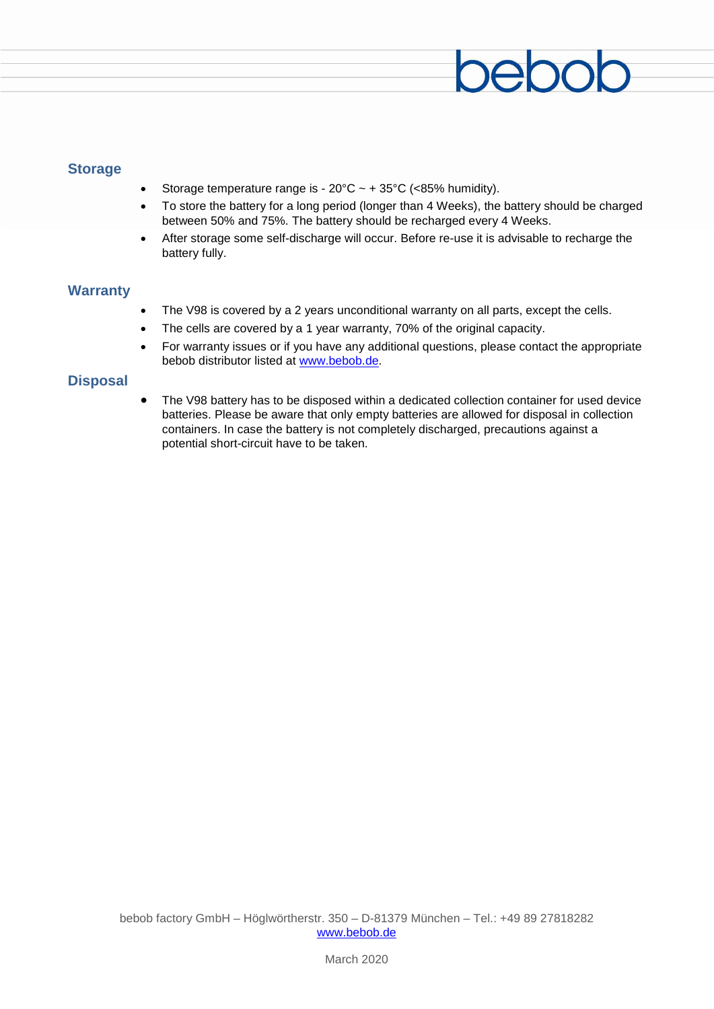#### **Storage**

- Storage temperature range is  $20^{\circ}$ C ~ +  $35^{\circ}$ C (<85% humidity).
- To store the battery for a long period (longer than 4 Weeks), the battery should be charged between 50% and 75%. The battery should be recharged every 4 Weeks.
- After storage some self-discharge will occur. Before re-use it is advisable to recharge the battery fully.

#### **Warranty**

- The V98 is covered by a 2 years unconditional warranty on all parts, except the cells.
- The cells are covered by a 1 year warranty, 70% of the original capacity.
- For warranty issues or if you have any additional questions, please contact the appropriate bebob distributor listed at [www.bebob.de.](http://www.bebob.de/)

#### **Disposal**

• The V98 battery has to be disposed within a dedicated collection container for used device batteries. Please be aware that only empty batteries are allowed for disposal in collection containers. In case the battery is not completely discharged, precautions against a potential short-circuit have to be taken.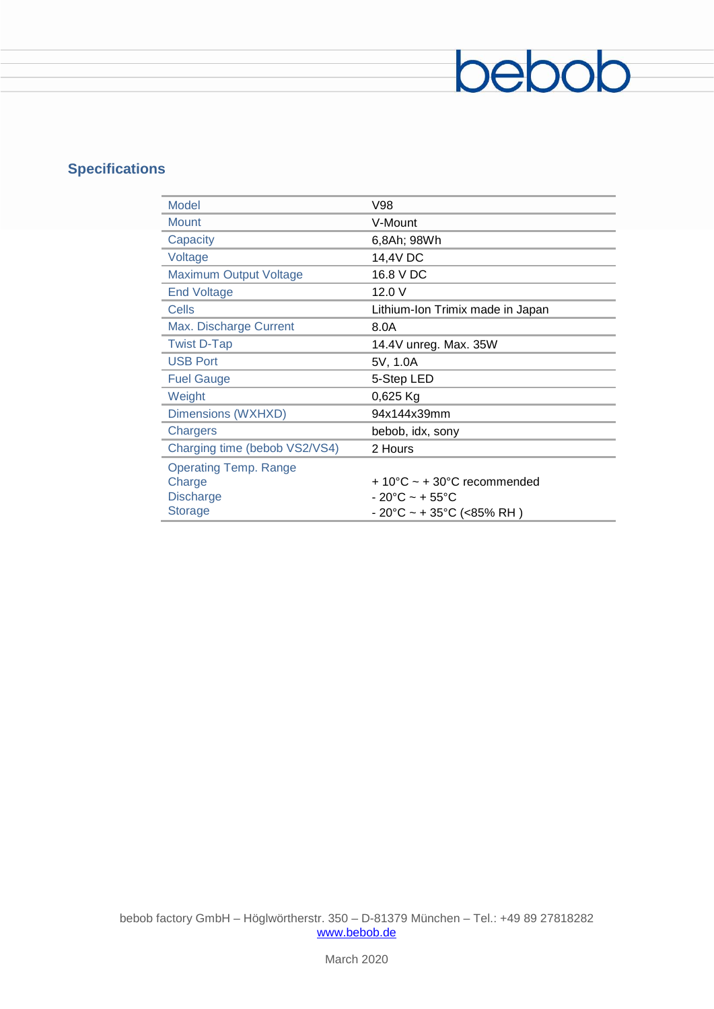## **Specifications**

| Model                         | V98                                             |
|-------------------------------|-------------------------------------------------|
| <b>Mount</b>                  | V-Mount                                         |
| Capacity                      | 6,8Ah; 98Wh                                     |
| Voltage                       | 14,4V DC                                        |
| <b>Maximum Output Voltage</b> | 16.8 V DC                                       |
| <b>End Voltage</b>            | 12.0V                                           |
| Cells                         | Lithium-Ion Trimix made in Japan                |
| Max. Discharge Current        | 8.0A                                            |
| <b>Twist D-Tap</b>            | 14.4V unreg. Max. 35W                           |
| <b>USB Port</b>               | 5V, 1.0A                                        |
| <b>Fuel Gauge</b>             | 5-Step LED                                      |
| Weight                        | $0,625$ Kg                                      |
| Dimensions (WXHXD)            | 94x144x39mm                                     |
| Chargers                      | bebob, idx, sony                                |
| Charging time (bebob VS2/VS4) | 2 Hours                                         |
| <b>Operating Temp. Range</b>  |                                                 |
| Charge                        | $+10^{\circ}$ C ~ + 30 $^{\circ}$ C recommended |
| <b>Discharge</b>              | $-20^{\circ}$ C ~ + 55 $^{\circ}$ C             |
| <b>Storage</b>                | - 20°C ~ + 35°C (<85% RH )                      |

bebob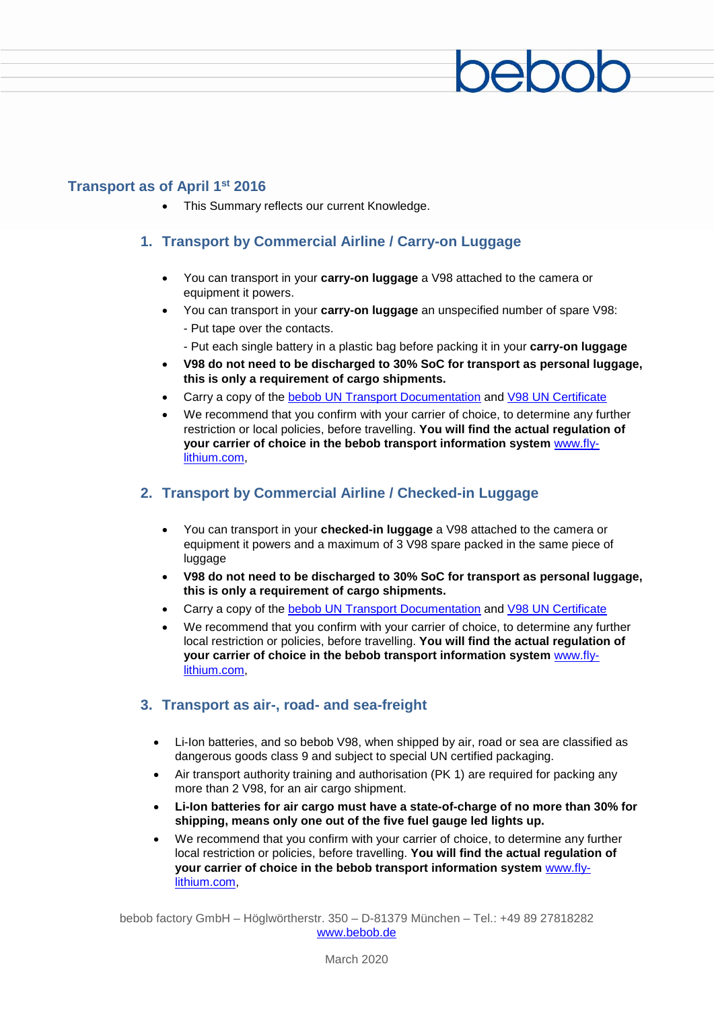#### **Transport as of April 1st 2016**

• This Summary reflects our current Knowledge.

#### **1. Transport by Commercial Airline / Carry-on Luggage**

- You can transport in your **carry-on luggage** a V98 attached to the camera or equipment it powers.
- You can transport in your **carry-on luggage** an unspecified number of spare V98: - Put tape over the contacts.
	- Put each single battery in a plastic bag before packing it in your **carry-on luggage**
- **V98 do not need to be discharged to 30% SoC for transport as personal luggage, this is only a requirement of cargo shipments.**
- Carry a copy of the [bebob UN Transport Documentation](http://www.bebob.de/media/wysiwyg/data/9044_UN%20Certificate%20V98.pdf) and [V98 UN Certificate](http://www.bebob.de/media/wysiwyg/data/9044_UN%20Certificate%20V98.pdf)
- We recommend that you confirm with your carrier of choice, to determine any further restriction or local policies, before travelling. **You will find the actual regulation of your carrier of choice in the bebob transport information system** www.flylithium.com,

#### **2. Transport by Commercial Airline / Checked-in Luggage**

- You can transport in your **checked-in luggage** a V98 attached to the camera or equipment it powers and a maximum of 3 V98 spare packed in the same piece of luggage
- **V98 do not need to be discharged to 30% SoC for transport as personal luggage, this is only a requirement of cargo shipments.**
- Carry a copy of the [bebob UN Transport Documentation](http://www.bebob.de/media/wysiwyg/data/9044_UN%20Certificate%20V98.pdf) and [V98 UN Certificate](http://www.bebob.de/media/wysiwyg/data/9044_UN%20Certificate%20V98.pdf)
- We recommend that you confirm with your carrier of choice, to determine any further local restriction or policies, before travelling. **You will find the actual regulation of your carrier of choice in the bebob transport information system** www.flylithium.com,

#### **3. Transport as air-, road- and sea-freight**

- Li-Ion batteries, and so bebob V98, when shipped by air, road or sea are classified as dangerous goods class 9 and subject to special UN certified packaging.
- Air transport authority training and authorisation (PK 1) are required for packing any more than 2 V98, for an air cargo shipment.
- **Li-Ion batteries for air cargo must have a state-of-charge of no more than 30% for shipping, means only one out of the five fuel gauge led lights up.**
- We recommend that you confirm with your carrier of choice, to determine any further local restriction or policies, before travelling. **You will find the actual regulation of your carrier of choice in the bebob transport information system** www.flylithium.com,

bebob factory GmbH – Höglwörtherstr. 350 – D-81379 München – Tel.: +49 89 27818282 [www.bebob.de](http://www.bebob.de/)